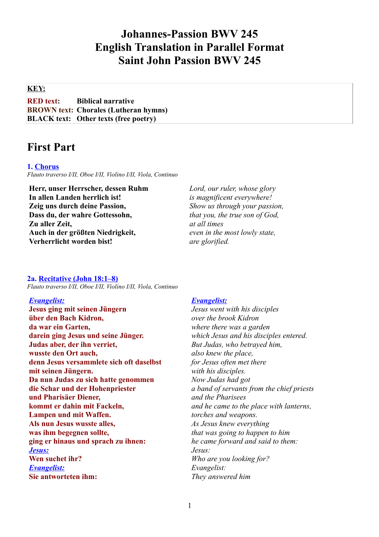# **Johannes-Passion BWV 245 English Translation in Parallel Format Saint John Passion BWV 245**

# **KEY:**

**RED text: Biblical narrative BROWN text: Chorales (Lutheran hymns) BLACK text: Other texts (free poetry)**

# **First Part**

### **1. Chorus**

*Flauto traverso I/II, Oboe I/II, Violino I/II, Viola, Continuo*

**Herr, unser Herrscher, dessen Ruhm In allen Landen herrlich ist! Zeig uns durch deine Passion, Dass du, der wahre Gottessohn, Zu aller Zeit, Auch in der größten Niedrigkeit, Verherrlicht worden bist!**

*Lord, our ruler, whose glory is magnificent everywhere! Show us through your passion, that you, the true son of God, at all times even in the most lowly state, are glorified.*

#### **2a. Recitative (John 18:1–8)**

*Flauto traverso I/II, Oboe I/II, Violino I/II, Viola, Continuo*

# *Evangelist:*

**Jesus ging mit seinen Jüngern über den Bach Kidron, da war ein Garten, darein ging Jesus und seine Jünger. Judas aber, der ihn verriet, wusste den Ort auch, denn Jesus versammlete sich oft daselbst mit seinen Jüngern. Da nun Judas zu sich hatte genommen die Schar und der Hohenpriester und Pharisäer Diener, kommt er dahin mit Fackeln, Lampen und mit Waffen. Als nun Jesus wusste alles, was ihm begegnen sollte, ging er hinaus und sprach zu ihnen:**  *Jesus:* **Wen suchet ihr?** *Evangelist:* **Sie antworteten ihm:** 

#### *Evangelist:*

*Jesus went with his disciples over the brook Kidron where there was a garden which Jesus and his disciples entered. But Judas, who betrayed him, also knew the place, for Jesus often met there with his disciples. Now Judas had got a band of servants from the chief priests and the Pharisees and he came to the place with lanterns, torches and weapons. As Jesus knew everything that was going to happen to him he came forward and said to them: Jesus: Who are you looking for? Evangelist: They answered him*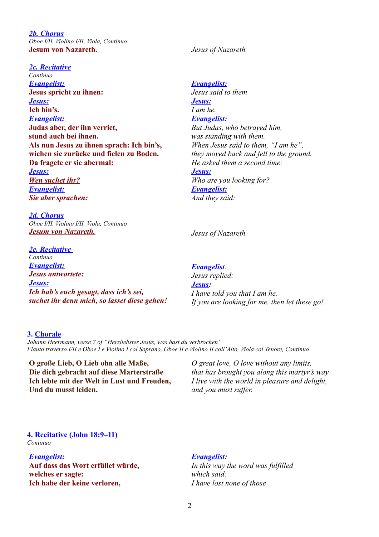*2b. Chorus Oboe I/II, Violino I/II, Viola, Continuo* **Jesum von Nazareth.**

#### *2c. Recitative*

*Continuo Evangelist:* **Jesus spricht zu ihnen:**  *Jesus :* **Ich bin's.** *Evangelist:* **Judas aber, der ihn verriet, stund auch bei ihnen. Als nun Jesus zu ihnen sprach: Ich bin's, wichen sie zurücke und fielen zu Boden. Da fragete er sie abermal:**  *Jesus : Wen suchet ihr? Evangelist: Sie aber sprachen:*

*2d. Chorus Oboe I/II, Violino I/II, Viola, Continuo Jesum von Nazareth.*

*2e. Recitative Continuo Evangelist: Jesus antwortete:* Jesus: *Ich hab's euch gesagt, dass ich's sei, suchet ihr denn mich, so lasset diese gehen!* *Jesus of Nazareth.*

*Evangelist: Jesus said to them Jesus : I am he. Evangelist: But Judas, who betrayed him, was standing with them. When Jesus said to them, "I am he", they moved back and fell to the ground. He asked them a second time: Jesus : Who are you looking for? Evangelist: And they said:*

*Jesus of Nazareth.*

#### *Evangelist:*

*Jesus replied: Jesus: I have told you that I am he. If you are looking for me, then let these go!*

#### **3. Chorale**

*Johann Heermann, verse 7 of "Herzliebster Jesus, was hast du verbrochen" Flauto traverso I/II e Oboe I e Violino I col Soprano, Oboe II e Violino II coll'Alto, Viola col Tenore, Continuo*

**O große Lieb, O Lieb ohn alle Maße, Die dich gebracht auf diese Marterstraße Ich lebte mit der Welt in Lust und Freuden, Und du musst leiden.**

*O great love, O love without any limits, that has brought you along this martyr's way I live with the world in pleasure and delight, and you must suffer.*

# **4. Recitative (John 18:9–11)**

*Continuo*

# *Evangelist:*

**Auf dass das Wort erfüllet würde, welches er sagte: Ich habe der keine verloren,** 

#### *Evangelist:*

*In this way the word was fulfilled which said: I have lost none of those*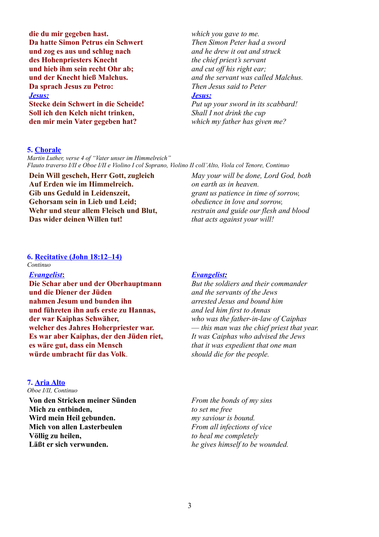**die du mir gegeben hast. Da hatte Simon Petrus ein Schwert und zog es aus und schlug nach des Hohenpriesters Knecht und hieb ihm sein recht Ohr ab; und der Knecht hieß Malchus. Da sprach Jesus zu Petro:** *Jesus:* **Stecke dein Schwert in die Scheide! Soll ich den Kelch nicht trinken, den mir mein Vater gegeben hat?** 

*which you gave to me. Then Simon Peter had a sword and he drew it out and struck the chief priest's servant and cut off his right ear; and the servant was called Malchus. Then Jesus said to Peter Jesus : Put up your sword in its scabbard! Shall I not drink the cup which my father has given me?* 

# **5. Chorale**

*Martin Luther, verse 4 of "Vater unser im Himmelreich" Flauto traverso I/II e Oboe I/II e Violino I col Soprano, Violino II coll'Alto, Viola col Tenore, Continuo*

**Dein Will gescheh, Herr Gott, zugleich Auf Erden wie im Himmelreich. Gib uns Geduld in Leidenszeit, Gehorsam sein in Lieb und Leid; Wehr und steur allem Fleisch und Blut, Das wider deinen Willen tut!**

*May your will be done, Lord God, both on earth as in heaven. grant us patience in time of sorrow, obedience in love and sorrow, restrain and guide our flesh and blood that acts against your will!*

#### **6. Recitative (John 18:12–14)**

*Continuo*

#### *Evangelist* **:**

**Die Schar aber und der Oberhauptmann und die Diener der Jüden nahmen Jesum und bunden ihn und führeten ihn aufs erste zu Hannas, der war Kaiphas Schwäher, welcher des Jahres Hoherpriester war. Es war aber Kaiphas, der den Jüden riet, es wäre gut, dass ein Mensch würde umbracht für das Volk**.

## **7. Aria Alto**

*Oboe I/II, Continuo*

**Von den Stricken meiner Sünden Mich zu entbinden, Wird mein Heil gebunden. Mich von allen Lasterbeulen Völlig zu heilen, Läßt er sich verwunden.**

# *Evangelist :*

*But the soldiers and their commander and the servants of the Jews arrested Jesus and bound him and led him first to Annas who was the father-in-law of Caiphas* — *this man was the chief priest that year. It was Caiphas who advised the Jews that it was expedient that one man should die for the people.* 

*From the bonds of my sins to set me free my saviour is bound. From all infections of vice to heal me completely he gives himself to be wounded.*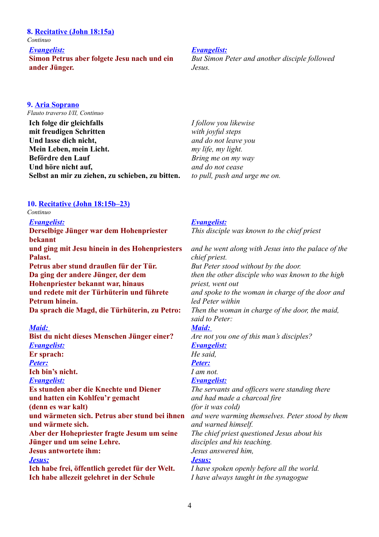## **8. Recitative (John 18:15a)**

*Continuo*

*Evangelist:*

**Simon Petrus aber folgete Jesu nach und ein ander Jünger.**

#### *Evangelist:*

*But Simon Peter and another disciple followed Jesus.*

# **9. Aria Soprano**

*Flauto traverso I/II, Continuo*

**Ich folge dir gleichfalls mit freudigen Schritten Und lasse dich nicht, Mein Leben, mein Licht. Befördre den Lauf Und höre nicht auf, Selbst an mir zu ziehen, zu schieben, zu bitten.** *I follow you likewise with joyful steps and do not leave you my life, my light. Bring me on my way and do not cease to pull, push and urge me on.* 

# **10. Recitative (John 18:15b–23)**

# *Continuo*

*Evangelist:*

**Derselbige Jünger war dem Hohenpriester bekannt und ging mit Jesu hinein in des Hohenpriesters Palast.** 

**Petrus aber stund draußen für der Tür. Da ging der andere Jünger, der dem Hohenpriester bekannt war, hinaus und redete mit der Türhüterin und führete Petrum hinein. Da sprach die Magd, die Türhüterin, zu Petro:**

#### *Maid:*

**Bist du nicht dieses Menschen Jünger einer?** *Evangelist:* **Er sprach:** *Peter:* **Ich bin's nicht.** *Evangelist:* **Es stunden aber die Knechte und Diener und hatten ein Kohlfeu'r gemacht (denn es war kalt) und wärmeten sich. Petrus aber stund bei ihnen und wärmete sich. Aber der Hohepriester fragte Jesum um seine Jünger und um seine Lehre. Jesus antwortete ihm:** *Jesus:* **Ich habe frei, öffentlich geredet für der Welt.** 

**Ich habe allezeit gelehret in der Schule**

### *Evangelist:*

*This disciple was known to the chief priest*

*and he went along with Jesus into the palace of the chief priest. But Peter stood without by the door. then the other disciple who was known to the high priest, went out and spoke to the woman in charge of the door and led Peter within Then the woman in charge of the door, the maid, said to Peter: Maid: Are not you one of this man's disciples? Evangelist: He said, Peter: I am not. Evangelist: The servants and officers were standing there and had made a charcoal fire (for it was cold) and were warming themselves. Peter stood by them and warned himself. The chief priest questioned Jesus about his disciples and his teaching. Jesus answered him, Jesus: I have spoken openly before all the world. I have always taught in the synagogue*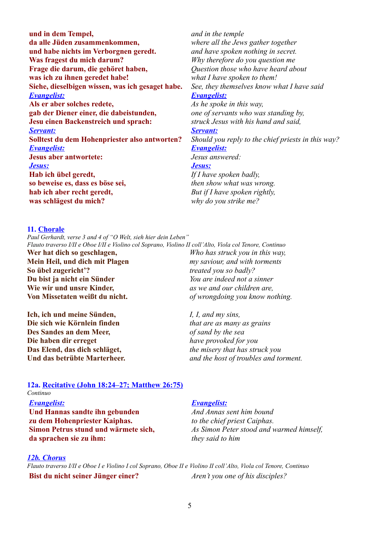**und in dem Tempel, da alle Jüden zusammenkommen, und habe nichts im Verborgnen geredt. Was fragest du mich darum? Frage die darum, die gehöret haben, was ich zu ihnen geredet habe! Siehe, dieselbigen wissen, was ich gesaget habe.** *Evangelist:* **Als er aber solches redete, gab der Diener einer, die dabeistunden, Jesu einen Backenstreich und sprach:** *Servant:* **Solltest du dem Hohenpriester also antworten?** *Evangelist:* **Jesus aber antwortete:** *Jesus:* **Hab ich übel geredt, so beweise es, dass es böse sei, hab ich aber recht geredt, was schlägest du mich?** 

*and in the temple where all the Jews gather together and have spoken nothing in secret. Why therefore do you question me Question those who have heard about what I have spoken to them! See, they themselves know what I have said Evangelist: As he spoke in this way, one of servants who was standing by, struck Jesus with his hand and said, Servant: Should you reply to the chief priests in this way? Evangelist: Jesus answered: Jesus: If I have spoken badly, then show what was wrong. But if I have spoken rightly,* 

#### **11. Chorale**

*Paul Gerhardt, verse 3 and 4 of "O Welt, sieh hier dein Leben" Flauto traverso I/II e Oboe I/II e Violino col Soprano, Violino II coll'Alto, Viola col Tenore, Continuo*

**Wer hat dich so geschlagen, Mein Heil, und dich mit Plagen So übel zugericht'? Du bist ja nicht ein Sünder Wie wir und unsre Kinder, Von Missetaten weißt du nicht.**

**Ich, ich und meine Sünden, Die sich wie Körnlein finden Des Sandes an dem Meer, Die haben dir erreget Das Elend, das dich schläget, Und das betrübte Marterheer.**

*Who has struck you in this way, my saviour, and with torments treated you so badly? You are indeed not a sinner as we and our children are, of wrongdoing you know nothing.*

*why do you strike me?*

*I, I, and my sins, that are as many as grains of sand by the sea have provoked for you the misery that has struck you and the host of troubles and torment.*

#### **12a. Recitative (John 18:24–27; Matthew 26:75)** *Continuo*

#### *Evangelist:*

**Und Hannas sandte ihn gebunden zu dem Hohenpriester Kaiphas. Simon Petrus stund und wärmete sich, da sprachen sie zu ihm:** 

#### *Evangelist:*

*And Annas sent him bound to the chief priest Caiphas. As Simon Peter stood and warmed himself, they said to him* 

#### *12b. Chorus*

*Flauto traverso I/II e Oboe I e Violino I col Soprano, Oboe II e Violino II coll'Alto, Viola col Tenore, Continuo* **Bist du nicht seiner Jünger einer?** *Aren't you one of his disciples?*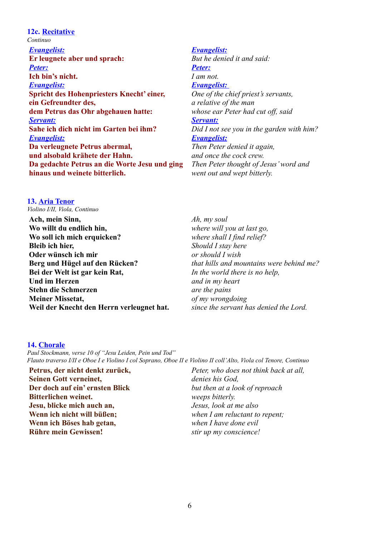# **12c. Recitative** *Continuo Evangelist:* **Er leugnete aber und sprach:** *Peter:* **Ich bin's nicht.** *Evangelist:* **Spricht des Hohenpriesters Knecht' einer, ein Gefreundter des, dem Petrus das Ohr abgehauen hatte:** *Servant:* **Sahe ich dich nicht im Garten bei ihm?** *Evangelist:* **Da verleugnete Petrus abermal, und alsobald krähete der Hahn. Da gedachte Petrus an die Worte Jesu und ging hinaus und weinete bitterlich.**

# *Evangelist:*

*But he denied it and said: Peter: I am not. Evangelist: One of the chief priest's servants, a relative of the man whose ear Peter had cut off, said Servant: Did I not see you in the garden with him? Evangelist: Then Peter denied it again, and once the cock crew. Then Peter thought of Jesus' word and went out and wept bitterly.* 

# **13. Aria Tenor**

*Violino I/II, Viola, Continuo*

**Ach, mein Sinn, Wo willt du endlich hin, Wo soll ich mich erquicken? Bleib ich hier, Oder wünsch ich mir Berg und Hügel auf den Rücken? Bei der Welt ist gar kein Rat, Und im Herzen Stehn die Schmerzen Meiner Missetat, Weil der Knecht den Herrn verleugnet hat.**

*Ah, my soul where will you at last go, where shall I find relief? Should I stay here or should I wish that hills and mountains were behind me? In the world there is no help, and in my heart are the pains of my wrongdoing since the servant has denied the Lord.*

# **14. Chorale**

*Paul Stockmann, verse 10 of "Jesu Leiden, Pein und Tod" Flauto traverso I/II e Oboe I e Violino I col Soprano, Oboe II e Violino II coll'Alto, Viola col Tenore, Continuo*

**Petrus, der nicht denkt zurück, Seinen Gott verneinet, Der doch auf ein' ernsten Blick Bitterlichen weinet. Jesu, blicke mich auch an, Wenn ich nicht will büßen; Wenn ich Böses hab getan, Rühre mein Gewissen!**

*Peter, who does not think back at all, denies his God, but then at a look of reproach weeps bitterly. Jesus, look at me also when I am reluctant to repent; when I have done evil stir up my conscience!*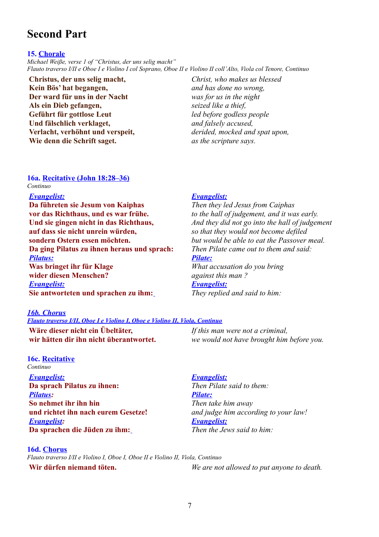# **Second Part**

#### **15. Chorale**

*Michael Weiße, verse 1 of "Christus, der uns selig macht" Flauto traverso I/II e Oboe I e Violino I col Soprano, Oboe II e Violino II coll'Alto, Viola col Tenore, Continuo*

**Christus, der uns selig macht, Kein Bös' hat begangen, Der ward für uns in der Nacht Als ein Dieb gefangen, Geführt für gottlose Leut Und fälschlich verklaget, Verlacht, verhöhnt und verspeit, Wie denn die Schrift saget.**

*Christ, who makes us blessed and has done no wrong, was for us in the night seized like a thief, led before godless people and falsely accused, derided, mocked and spat upon, as the scripture says.*

#### **16a. Recitative (John 18:28–36)** *Continuo*

#### *Evangelist:*

**Da führeten sie Jesum von Kaiphas vor das Richthaus, und es war frühe. Und sie gingen nicht in das Richthaus, auf dass sie nicht unrein würden, sondern Ostern essen möchten. Da ging Pilatus zu ihnen heraus und sprach:** *Pilatus:* **Was bringet ihr für Klage wider diesen Menschen?** *Evangelist:* **Sie antworteten und sprachen zu ihm:**

# *16b. Chorus*

### *Flauto traverso I/II, Oboe I e Violino I, Oboe e Violino II, Viola, Continuo*

**Wäre dieser nicht ein Übeltäter, wir hätten dir ihn nicht überantwortet.** 

**16c. Recitative** *Continuo Evangelist:* **Da sprach Pilatus zu ihnen:** *Pilatus:* **So nehmet ihr ihn hin und richtet ihn nach eurem Gesetze!** *Evangelist:* **Da sprachen die Jüden zu ihm:**

# **16d. Chorus**

*Flauto traverso I/II e Violino I, Oboe I, Oboe II e Violino II, Viola, Continuo* **Wir dürfen niemand töten.** *We are not allowed to put anyone to death.*

# *Evangelist:*

*Then they led Jesus from Caiphas to the hall of judgement, and it was early. And they did not go into the hall of judgement so that they would not become defiled but would be able to eat the Passover meal. Then Pilate came out to them and said: Pilate:*

*What accusation do you bring against this man ?* 

# *Evangelist:*

*They replied and said to him:*

*If this man were not a criminal,* 

*we would not have brought him before you.* 

*Evangelist:*

*Then Pilate said to them: Pilate: Then take him away and judge him according to your law! Evangelist: Then the Jews said to him:*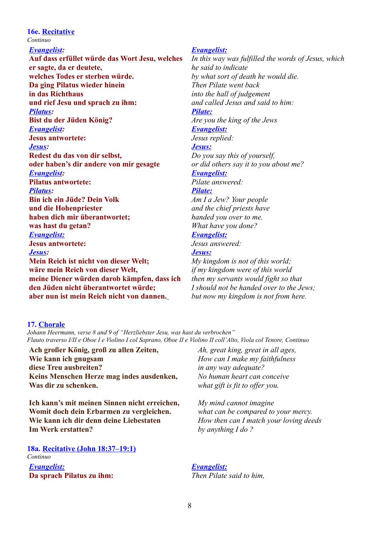# **16e. Recitative**

*Continuo*

# *Evangelist:*

**Auf dass erfüllet würde das Wort Jesu, welches er sagte, da er deutete, welches Todes er sterben würde. Da ging Pilatus wieder hinein in das Richthaus und rief Jesu und sprach zu ihm:** *Pilatus:* **Bist du der Jüden König?** *Evangelist:* **Jesus antwortete:** *Jesus:* **Redest du das von dir selbst, oder haben's dir andere von mir gesagte** *Evangelist:* **Pilatus antwortete:** *Pilatus:* **Bin ich ein Jüde? Dein Volk und die Hohenpriester haben dich mir überantwortet; was hast du getan?** *Evangelist:* **Jesus antwortete:** *Jesus:* **Mein Reich ist nicht von dieser Welt; wäre mein Reich von dieser Welt, meine Diener würden darob kämpfen, dass ich den Jüden nicht überantwortet würde; aber nun ist mein Reich nicht von dannen.**

#### *Evangelist:*

*In this way was fulfilled the words of Jesus, which he said to indicate by what sort of death he would die. Then Pilate went back into the hall of judgement and called Jesus and said to him: Pilate: Are you the king of the Jews Evangelist: Jesus replied: Jesus : Do you say this of yourself, or did others say it to you about me? Evangelist: Pilate answered: Pilate: Am I a Jew? Your people and the chief priests have handed you over to me. What have you done? Evangelist: Jesus answered: Jesus : My kingdom is not of this world;*

*if my kingdom were of this world then my servants would fight so that I should not be handed over to the Jews; but now my kingdom is not from here.*

# **17. Chorale**

*Johann Heermann, verse 8 and 9 of "Herzliebster Jesu, was hast du verbrochen" Flauto traverso I/II e Oboe I e Violino I col Soprano, Oboe II e Violino II coll'Alto, Viola col Tenore, Continuo*

**Ach großer König, groß zu allen Zeiten, Wie kann ich gnugsam diese Treu ausbreiten? Keins Menschen Herze mag indes ausdenken, Was dir zu schenken.**

**Ich kann's mit meinen Sinnen nicht erreichen, Womit doch dein Erbarmen zu vergleichen. Wie kann ich dir denn deine Liebestaten Im Werk erstatten?** 

**18a. Recitative (John 18:37–19:1)** *Continuo Evangelist:* **Da sprach Pilatus zu ihm:**

*Ah, great king, great in all ages, How can I make my faithfulness in any way adequate? No human heart can conceive what gift is fit to offer you.*

*My mind cannot imagine what can be compared to your mercy. How then can I match your loving deeds by anything I do ?*

# *Evangelist: Then Pilate said to him,*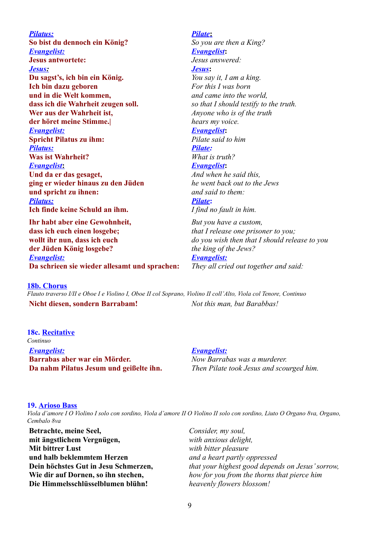*Pilatus:* **So bist du dennoch ein König?** *Evangelist:* **Jesus antwortete:**  *Jesus :* **Du sagst's, ich bin ein König. Ich bin dazu geboren und in die Welt kommen, dass ich die Wahrheit zeugen soll. Wer aus der Wahrheit ist, der höret meine Stimme.|** *Evangelist:* **Spricht Pilatus zu ihm:** *Pilatus:* **Was ist Wahrheit?**  *Evangelist* **: Und da er das gesaget, ging er wieder hinaus zu den Jüden und spricht zu ihnen:** *Pilatus:* **Ich finde keine Schuld an ihm.**

**Ihr habt aber eine Gewohnheit, dass ich euch einen losgebe; wollt ihr nun, dass ich euch der Jüden König losgebe?** *Evangelist:* **Da schrieen sie wieder allesamt und sprachen:**

 *Pilate* **:** *So you are then a King? Evangelist***:** *Jesus answered: Jesus***:**  *You say it, I am a king. For this I was born and came into the world, so that I should testify to the truth. Anyone who is of the truth hears my voice. Evangelist***:** *Pilate said to him Pilate: What is truth? Evangelist***:** *And when he said this, he went back out to the Jews and said to them: Pilate***:** *I find no fault in him. But you have a custom, that I release one prisoner to you; do you wish then that I should release to you*

*the king of the Jews? Evangelist:*

*They all cried out together and said:*

#### **18b. Chorus**

*Flauto traverso I/II e Oboe I e Violino I, Oboe II col Soprano, Violino II coll'Alto, Viola col Tenore, Continuo* **Nicht diesen, sondern Barrabam!** *Not this man, but Barabbas!*

**18c. Recitative** *Continuo Evangelist:* **Barrabas aber war ein Mörder. Da nahm Pilatus Jesum und geißelte ihn.** 

#### *Evangelist:*

*Now Barrabas was a murderer. Then Pilate took Jesus and scourged him.*

#### **19. Arioso Bass**

*Viola d'amore I O Violino I solo con sordino, Viola d'amore II O Violino II solo con sordino, Liuto O Organo 8va, Organo, Cembalo 8va*

**Betrachte, meine Seel, mit ängstlichem Vergnügen, Mit bittrer Lust und halb beklemmtem Herzen Dein höchstes Gut in Jesu Schmerzen, Wie dir auf Dornen, so ihn stechen, Die Himmelsschlüsselblumen blühn!**

*Consider, my soul, with anxious delight, with bitter pleasure and a heart partly oppressed that your highest good depends on Jesus' sorrow, how for you from the thorns that pierce him heavenly flowers blossom!*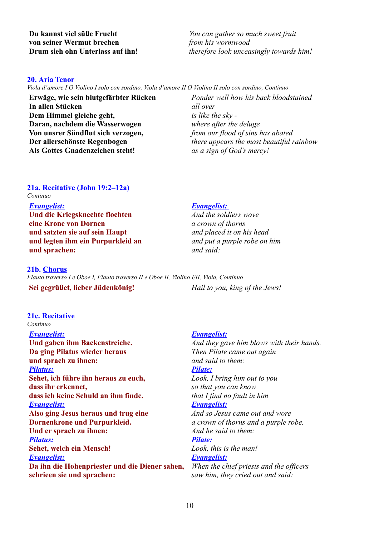*You can gather so much sweet fruit from his wormwood therefore look unceasingly towards him!* 

#### **20. Aria Tenor**

*Viola d'amore I O Violino I solo con sordino, Viola d'amore II O Violino II solo con sordino, Continuo*

**Erwäge, wie sein blutgefärbter Rücken In allen Stücken Dem Himmel gleiche geht, Daran, nachdem die Wasserwogen Von unsrer Sündflut sich verzogen, Der allerschönste Regenbogen Als Gottes Gnadenzeichen steht!**

*Ponder well how his back bloodstained all over is like the sky where after the deluge from our flood of sins has abated there appears the most beautiful rainbow as a sign of God's mercy!*

# **21a. Recitative (John 19:2–12a)**

*Continuo*

# *Evangelist:* **Und die Kriegsknechte flochten eine Krone von Dornen und satzten sie auf sein Haupt und legten ihm ein Purpurkleid an**

**21b. Chorus**

**und sprachen:**

*Flauto traverso I e Oboe I, Flauto traverso II e Oboe II, Violino I/II, Viola, Continuo* **Sei gegrüßet, lieber Jüdenkönig!** *Hail to you, king of the Jews!*

#### **21c. Recitative** *Continuo*

*Evangelist:* **Und gaben ihm Backenstreiche. Da ging Pilatus wieder heraus und sprach zu ihnen:** *Pilatus:* **Sehet, ich führe ihn heraus zu euch, dass ihr erkennet, dass ich keine Schuld an ihm finde.** *Evangelist:* **Also ging Jesus heraus und trug eine Dornenkrone und Purpurkleid. Und er sprach zu ihnen:** *Pilatus:* **Sehet, welch ein Mensch!** *Evangelist:* **Da ihn die Hohenpriester und die Diener sahen, schrieen sie und sprachen:**

# *Evangelist:*

*And the soldiers wove a crown of thorns and placed it on his head and put a purple robe on him and said:* 

# *Evangelist:*

*And they gave him blows with their hands. Then Pilate came out again and said to them: Pilate: Look, I bring him out to you so that you can know that I find no fault in him Evangelist: And so Jesus came out and wore a crown of thorns and a purple robe. And he said to them: Pilate: Look, this is the man! Evangelist: When the chief priests and the officers saw him, they cried out and said:*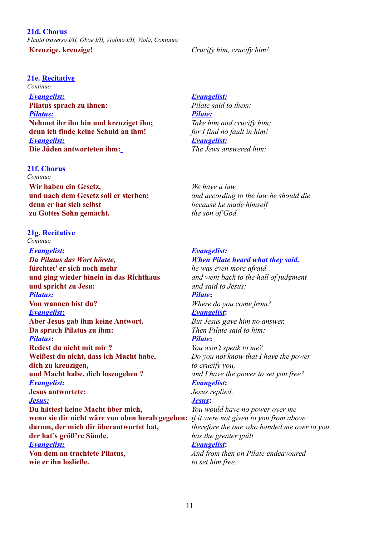#### **21e. Recitative**

*Continuo Evangelist:* **Pilatus sprach zu ihnen:** *Pilatus:* **Nehmet ihr ihn hin und kreuziget ihn; denn ich finde keine Schuld an ihm!** *Evangelist:* **Die Jüden antworteten ihm:**

# **21f. Chorus**

*Continuo*

**Wir haben ein Gesetz, und nach dem Gesetz soll er sterben; denn er hat sich selbst zu Gottes Sohn gemacht.** 

# **21g. Recitative**

*Continuo*

*Evangelist: Da Pilatus das Wort hörete,*  **fürchtet' er sich noch mehr und ging wieder hinein in das Richthaus und spricht zu Jesu:** *Pilatus:* **Von wannen bist du?**  *Evangelist* **: Aber Jesus gab ihm keine Antwort. Da sprach Pilatus zu ihm:**  *Pilatus* **: Redest du nicht mit mir ? Weißest du nicht, dass ich Macht habe, dich zu kreuzigen, und Macht habe, dich loszugehen ?** *Evangelist:* **Jesus antwortete:**  *Jesus :* **Du hättest keine Macht über mich, wenn sie dir nicht wäre von oben herab gegeben;** *if it were not given to you from above:* **darum, der mich dir überantwortet hat, der hat's größ're Sünde.** *Evangelist:* **Von dem an trachtete Pilatus, wie er ihn losließe.**

# *Evangelist:*

*Pilate said to them: Pilate: Take him and crucify him; for I find no fault in him! Evangelist: The Jews answered him:*

*We have a law and according to the law he should die because he made himself the son of God.*

### *Evangelist: When Pilate heard what they said,*

*he was even more afraid and went back to the hall of judgment and said to Jesus: Pilate***:** *Where do you come from? Evangelist***:** *But Jesus gave him no answer. Then Pilate said to him: Pilate***:**  *You won't speak to me? Do you not know that I have the power to crucify you, and I have the power to set you free? Evangelist***:** *Jesus replied: Jesus***:** *You would have no power over me therefore the one who handed me over to you has the greater guilt Evangelist***:** *And from then on Pilate endeavoured*

*to set him free.*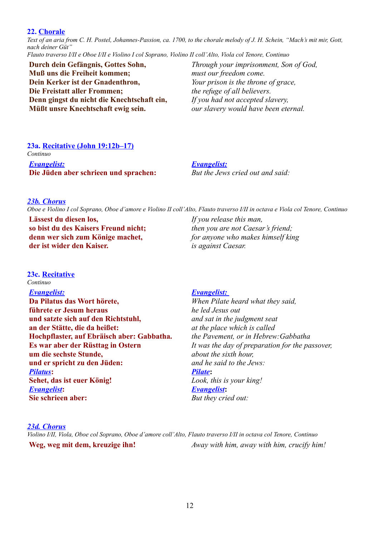#### **22. Chorale**

*Text of an aria from C. H. Postel, Johannes-Passion, ca. 1700, to the chorale melody of J. H. Schein, "Mach's mit mir, Gott, nach deiner Güt"*

*Flauto traverso I/II e Oboe I/II e Violino I col Soprano, Violino II coll'Alto, Viola col Tenore, Continuo*

**Durch dein Gefängnis, Gottes Sohn, Muß uns die Freiheit kommen; Dein Kerker ist der Gnadenthron, Die Freistatt aller Frommen; Denn gingst du nicht die Knechtschaft ein, Müßt unsre Knechtschaft ewig sein.**

*Through your imprisonment, Son of God, must our freedom come. Your prison is the throne of grace, the refuge of all believers. If you had not accepted slavery, our slavery would have been eternal.*

**23a. Recitative (John 19:12b–17)** *Continuo Evangelist:* **Die Jüden aber schrieen und sprachen:**

*Evangelist: But the Jews cried out and said:*

# *23b. Chorus*

*Oboe e Violino I col Soprano, Oboe d'amore e Violino II coll'Alto, Flauto traverso I/II in octava e Viola col Tenore, Continuo*

**Lässest du diesen los, so bist du des Kaisers Freund nicht; denn wer sich zum Könige machet, der ist wider den Kaiser.**

*If you release this man, then you are not Caesar's friend; for anyone who makes himself king is against Caesar.*

#### **23c. Recitative** *Continuo*

*Evangelist:*

**Da Pilatus das Wort hörete, führete er Jesum heraus und satzte sich auf den Richtstuhl, an der Stätte, die da heißet: Hochpflaster, auf Ebräisch aber: Gabbatha. Es war aber der Rüsttag in Ostern um die sechste Stunde, und er spricht zu den Jüden:** *Pilatus***: Sehet, das ist euer König!** *Evangelist***: Sie schrieen aber:**

#### *Evangelist:*

*When Pilate heard what they said, he led Jesus out and sat in the judgment seat at the place which is called the Pavement, or in Hebrew:Gabbatha It was the day of preparation for the passover, about the sixth hour, and he said to the Jews: Pilate***:** *Look, this is your king! Evangelist***:** *But they cried out:*

#### *23d. Chorus*

*Violino I/II, Viola, Oboe col Soprano, Oboe d'amore coll'Alto, Flauto traverso I/II in octava col Tenore, Continuo* **Weg, weg mit dem, kreuzige ihn!** *Away with him, away with him, crucify him!*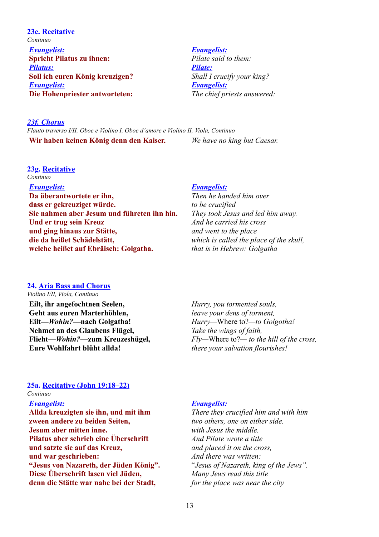**23e. Recitative** *Continuo Evangelist:* **Spricht Pilatus zu ihnen:** *Pilatus:* **Soll ich euren König kreuzigen?** *Evangelist:* **Die Hohenpriester antworteten:**

#### *Evangelist:*

*Pilate said to them: Pilate: Shall I crucify your king? Evangelist: The chief priests answered:*

## *23f. Chorus*

*Flauto traverso I/II, Oboe e Violino I, Oboe d'amore e Violino II, Viola, Continuo* **Wir haben keinen König denn den Kaiser.** *We have no king but Caesar.*

# **23g. Recitative**

*Continuo*

*Evangelist:*

**Da überantwortete er ihn, dass er gekreuziget würde. Sie nahmen aber Jesum und führeten ihn hin. Und er trug sein Kreuz und ging hinaus zur Stätte, die da heißet Schädelstätt, welche heißet auf Ebräisch: Golgatha.**

#### *Evangelist:*

*Then he handed him over to be crucified They took Jesus and led him away. And he carried his cross and went to the place which is called the place of the skull, that is in Hebrew: Golgatha*

# **24. Aria Bass and Chorus**

*Violino I/II, Viola, Continuo*

**Eilt, ihr angefochtnen Seelen, Geht aus euren Marterhöhlen, Eilt—***Wohin?***—nach Golgatha! Nehmet an des Glaubens Flügel, Flieht—***Wohin?***—zum Kreuzeshügel, Eure Wohlfahrt blüht allda!**

*Hurry, you tormented souls, leave your dens of torment, Hurry—*Where to?*—to Golgotha! Take the wings of faith, Fly—*Where to?*— to the hill of the cross, there your salvation flourishes!*

#### **25a. Recitative (John 19:18–22)** *Continuo*

#### *Evangelist:*

**Allda kreuzigten sie ihn, und mit ihm zween andere zu beiden Seiten, Jesum aber mitten inne. Pilatus aber schrieb eine Überschrift und satzte sie auf das Kreuz, und war geschrieben: "Jesus von Nazareth, der Jüden König". Diese Überschrift lasen viel Jüden, denn die Stätte war nahe bei der Stadt,** 

#### *Evangelist:*

*There they crucified him and with him two others, one on either side. with Jesus the middle. And Pilate wrote a title and placed it on the cross, And there was written:*  "*Jesus of Nazareth, king of the Jews". Many Jews read this title for the place was near the city*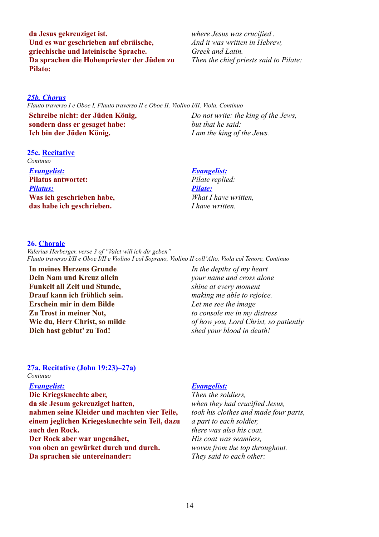**da Jesus gekreuziget ist. Und es war geschrieben auf ebräische, griechische und lateinische Sprache. Da sprachen die Hohenpriester der Jüden zu Pilato:**

*where Jesus was crucified . And it was written in Hebrew, Greek and Latin. Then the chief priests said to Pilate:*

# *25b. Chorus*

*Flauto traverso I e Oboe I, Flauto traverso II e Oboe II, Violino I/II, Viola, Continuo*

**Schreibe nicht: der Jüden König, sondern dass er gesaget habe: Ich bin der Jüden König.**

#### **25c. Recitative** *Continuo*

*Evangelist:* **Pilatus antwortet:** *Pilatus:* **Was ich geschrieben habe, das habe ich geschrieben.**

*Do not write: the king of the Jews, but that he said: I am the king of the Jews.*

### *Evangelist:*

*Pilate replied: Pilate: What I have written, I have written.*

### **26. Chorale**

*Valerius Herberger, verse 3 of "Valet will ich dir geben" Flauto traverso I/II e Oboe I/II e Violino I col Soprano, Violino II coll'Alto, Viola col Tenore, Continuo*

**In meines Herzens Grunde Dein Nam und Kreuz allein Funkelt all Zeit und Stunde, Drauf kann ich fröhlich sein. Erschein mir in dem Bilde Zu Trost in meiner Not, Wie du, Herr Christ, so milde Dich hast geblut' zu Tod!**

*In the depths of my heart your name and cross alone shine at every moment making me able to rejoice. Let me see the image to console me in my distress of how you, Lord Christ, so patiently shed your blood in death!*

# **27a. Recitative (John 19:23)–27a)**

*Continuo*

#### *Evangelist:*

**Die Kriegsknechte aber, da sie Jesum gekreuziget hatten, nahmen seine Kleider und machten vier Teile, einem jeglichen Kriegesknechte sein Teil, dazu auch den Rock. Der Rock aber war ungenähet, von oben an gewürket durch und durch. Da sprachen sie untereinander:**

# *Evangelist:*

*Then the soldiers, when they had crucified Jesus, took his clothes and made four parts, a part to each soldier, there was also his coat. His coat was seamless, woven from the top throughout. They said to each other:*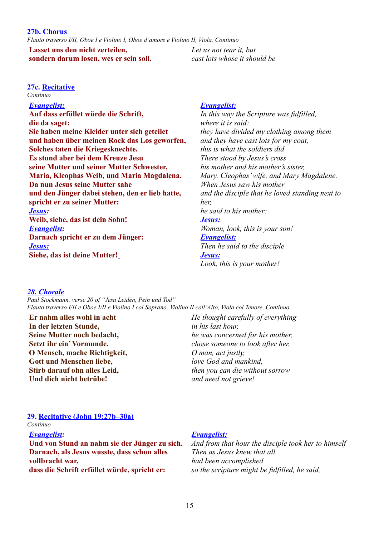*Flauto traverso I/II, Oboe I e Violino I, Oboe d'amore e Violino II, Viola, Continuo*

**Lasset uns den nicht zerteilen, sondern darum losen, wes er sein soll.** *Let us not tear it, but cast lots whose it should be* 

# **27c. Recitative**

*Continuo*

*Evangelist:* **Auf dass erfüllet würde die Schrift, die da saget: Sie haben meine Kleider unter sich geteilet und haben über meinen Rock das Los geworfen, Solches taten die Kriegesknechte. Es stund aber bei dem Kreuze Jesu seine Mutter und seiner Mutter Schwester, Maria, Kleophas Weib, und Maria Magdalena. Da nun Jesus seine Mutter sahe und den Jünger dabei stehen, den er lieb hatte, spricht er zu seiner Mutter:** *Jesus:* **Weib, siehe, das ist dein Sohn!** *Evangelist:* **Darnach spricht er zu dem Jünger:** *Jesus:* **Siehe, das ist deine Mutter!**

# *Evangelist:*

*In this way the Scripture was fulfilled, where it is said: they have divided my clothing among them and they have cast lots for my coat, this is what the soldiers did There stood by Jesus's cross his mother and his mother's sister, Mary, Cleophas' wife, and Mary Magdalene. When Jesus saw his mother and the disciple that he loved standing next to her, he said to his mother: Jesus: Woman, look, this is your son! Evangelist: Then he said to the disciple*

# *28. Chorale*

*Paul Stockmann, verse 20 of "Jesu Leiden, Pein und Tod" Flauto traverso I/II e Oboe I/II e Violino I col Soprano, Violino II coll'Alto, Viola col Tenore, Continuo*

**Er nahm alles wohl in acht In der letzten Stunde, Seine Mutter noch bedacht, Setzt ihr ein' Vormunde. O Mensch, mache Richtigkeit, Gott und Menschen liebe, Stirb darauf ohn alles Leid, Und dich nicht betrübe!**

*He thought carefully of everything in his last hour, he was concerned for his mother, chose someone to look after her. O man, act justly, love God and mankind, then you can die without sorrow and need not grieve!*

*Look, this is your mother!*

# **29. Recitative (John 19:27b–30a)**

*Continuo*

*Evangelist:* **Und von Stund an nahm sie der Jünger zu sich. Darnach, als Jesus wusste, dass schon alles vollbracht war, dass die Schrift erfüllet würde, spricht er:**

# *Evangelist:*

 *Jesus :*

*And from that hour the disciple took her to himself Then as Jesus knew that all had been accomplished so the scripture might be fulfilled, he said,*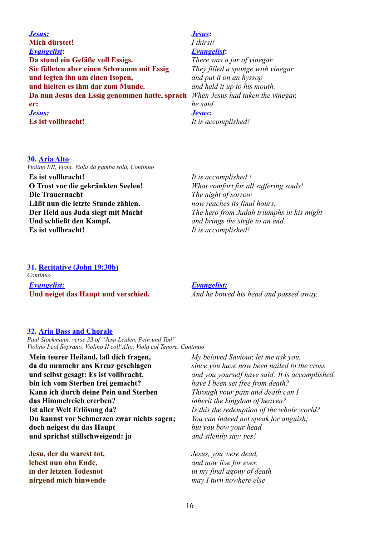*Jesus:* **Mich dürstet!** *Evangelist***: Da stund ein Gefäße voll Essigs. Sie fülleten aber einen Schwamm mit Essig und legten ihn um einen Isopen, und hielten es ihm dar zum Munde. Da nun Jesus den Essig genommen hatte, sprach er:** *Jesus:* **Es ist vollbracht!**

# *Jesus***:** *I thirst! Evangelist***:**

*There was a jar of vinegar. They filled a sponge with vinegar and put it on an hyssop and held it up to his mouth. When Jesus had taken the vinegar, he said Jesus***:** *It is accomplished!*

### **30. Aria Alto**

*Violino I/II, Viola, Viola da gamba sola, Continuo*

**Es ist vollbracht! O Trost vor die gekränkten Seelen! Die Trauernacht Läßt nun die letzte Stunde zählen. Der Held aus Juda siegt mit Macht Und schließt den Kampf. Es ist vollbracht!**

*It is accomplished ! What comfort for all suffering souls! The night of sorrow now reaches its final hours. The hero from Judah triumphs in his might and brings the strife to an end. It is accomplished!*

# **31. Recitative (John 19:30b)**

*Continuo Evangelist:* **Und neiget das Haupt und verschied.**

*Evangelist: And he bowed his head and passed away.*

# **32. Aria Bass and Chorale**

*Paul Stockmann, verse 33 of "Jesu Leiden, Pein und Tod" Violino I col Soprano, Violino II coll'Alto, Viola col Tenore, Continuo*

**Mein teurer Heiland, laß dich fragen, da du nunmehr ans Kreuz geschlagen und selbst gesagt: Es ist vollbracht, bin ich vom Sterben frei gemacht? Kann ich durch deine Pein und Sterben das Himmelreich ererben? Ist aller Welt Erlösung da? Du kannst vor Schmerzen zwar nichts sagen; doch neigest du das Haupt und sprichst stillschweigend: ja**

**Jesu, der du warest tot, lebest nun ohn Ende, in der letzten Todesnot nirgend mich hinwende** *My beloved Saviour, let me ask you, since you have now been nailed to the cross and you yourself have said: It is accomplished, have I been set free from death? Through your pain and death can I inherit the kingdom of heaven? Is this the redemption of the whole world? You can indeed not speak for anguish; but you bow your head and silently say: yes!*

*Jesus, you were dead, and now live for ever, in my final agony of death may I turn nowhere else*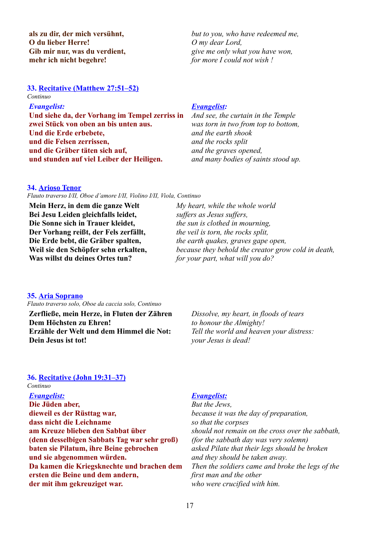**als zu dir, der mich versühnt, O du lieber Herre! Gib mir nur, was du verdient, mehr ich nicht begehre!**

**33. Recitative (Matthew 27:51–52)**

# *Continuo*

*Evangelist:*

**Und siehe da, der Vorhang im Tempel zerriss in zwei Stück von oben an bis unten aus. Und die Erde erbebete, und die Felsen zerrissen, und die Gräber täten sich auf, und stunden auf viel Leiber der Heiligen.** 

# *Evangelist:*

*O my dear Lord,* 

*And see, the curtain in the Temple was torn in two from top to bottom, and the earth shook and the rocks split and the graves opened, and many bodies of saints stood up.* 

*but to you, who have redeemed me,* 

*give me only what you have won,* 

*for more I could not wish !*

#### **34. Arioso Tenor**

*Flauto traverso I/II, Oboe d'amore I/II, Violino I/II, Viola, Continuo*

**Mein Herz, in dem die ganze Welt Bei Jesu Leiden gleichfalls leidet, Die Sonne sich in Trauer kleidet, Der Vorhang reißt, der Fels zerfällt, Die Erde bebt, die Gräber spalten, Weil sie den Schöpfer sehn erkalten, Was willst du deines Ortes tun?**

*My heart, while the whole world suffers as Jesus suffers, the sun is clothed in mourning, the veil is torn, the rocks split, the earth quakes, graves gape open, because they behold the creator grow cold in death, for your part, what will you do?*

# **35. Aria Soprano**

*Flauto traverso solo, Oboe da caccia solo, Continuo*

**Zerfließe, mein Herze, in Fluten der Zähren Dem Höchsten zu Ehren! Erzähle der Welt und dem Himmel die Not: Dein Jesus ist tot!**

*Dissolve, my heart, in floods of tears to honour the Almighty! Tell the world and heaven your distress: your Jesus is dead!*

# **36. Recitative (John 19:31–37)**

### *Continuo*

*Evangelist:* **Die Jüden aber, dieweil es der Rüsttag war, dass nicht die Leichname am Kreuze blieben den Sabbat über (denn desselbigen Sabbats Tag war sehr groß) baten sie Pilatum, ihre Beine gebrochen und sie abgenommen würden. Da kamen die Kriegsknechte und brachen dem ersten die Beine und dem andern, der mit ihm gekreuziget war.**

# *Evangelist:*

*But the Jews, because it was the day of preparation, so that the corpses should not remain on the cross over the sabbath, (for the sabbath day was very solemn) asked Pilate that their legs should be broken and they should be taken away. Then the soldiers came and broke the legs of the first man and the other who were crucified with him.*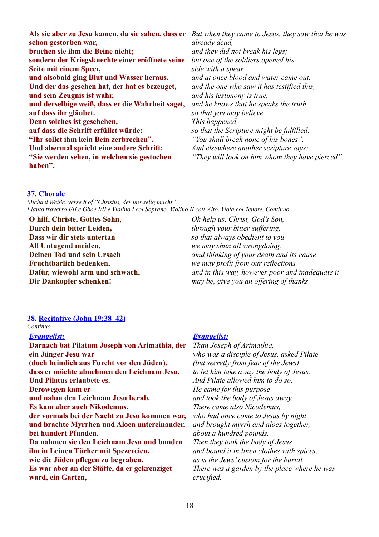**Als sie aber zu Jesu kamen, da sie sahen, dass er** *But when they came to Jesus, they saw that he was*  **schon gestorben war, brachen sie ihm die Beine nicht; sondern der Kriegsknechte einer eröffnete seine Seite mit einem Speer, und alsobald ging Blut und Wasser heraus. Und der das gesehen hat, der hat es bezeuget, und sein Zeugnis ist wahr, und derselbige weiß, dass er die Wahrheit saget, auf dass ihr gläubet. Denn solches ist geschehen, auf dass die Schrift erfüllet würde: "Ihr sollet ihm kein Bein zerbrechen". Und abermal spricht eine andere Schrift: "Sie werden sehen, in welchen sie gestochen haben".**  *already dead, and they did not break his legs; but one of the soldiers opened his side with a spear and at once blood and water came out. and the one who saw it has testified this, and his testimony is true, and he knows that he speaks the truth so that you may believe. This happened so that the Scripture might be fulfilled: "You shall break none of his bones". And elsewhere another scripture says: "They will look on him whom they have pierced".*

#### **37. Chorale**

*Michael Weiße, verse 8 of "Christus, der uns selig macht" Flauto traverso I/II e Oboe I/II e Violino I col Soprano, Violino II coll'Alto, Viola col Tenore, Continuo*

**O hilf, Christe, Gottes Sohn, Durch dein bitter Leiden, Dass wir dir stets untertan All Untugend meiden, Deinen Tod und sein Ursach Fruchtbarlich bedenken, Dafür, wiewohl arm und schwach, Dir Dankopfer schenken!**

*Oh help us, Christ, God's Son, through your bitter suffering, so that always obedient to you we may shun all wrongdoing, amd thinking of your death and its cause we may profit from our reflections and in this way, however poor and inadequate it may be, give you an offering of thanks*

# **38. Recitative (John 19:38–42)**

#### *Continuo*

# *Evangelist:* **Darnach bat Pilatum Joseph von Arimathia, der ein Jünger Jesu war (doch heimlich aus Furcht vor den Jüden), dass er möchte abnehmen den Leichnam Jesu. Und Pilatus erlaubete es. Derowegen kam er und nahm den Leichnam Jesu herab. Es kam aber auch Nikodemus, der vormals bei der Nacht zu Jesu kommen war, und brachte Myrrhen und Aloen untereinander, bei hundert Pfunden. Da nahmen sie den Leichnam Jesu und bunden ihn in Leinen Tücher mit Spezereien, wie die Jüden pflegen zu begraben. Es war aber an der Stätte, da er gekreuziget ward, ein Garten,**

# *Evangelist:*

*Than Joseph of Arimathia, who was a disciple of Jesus, asked Pilate (but secretly from fear of the Jews) to let him take away the body of Jesus. And Pilate allowed him to do so. He came for this purpose and took the body of Jesus away. There came also Nicodemus, who had once come to Jesus by night and brought myrrh and aloes together, about a hundred pounds. Then they took the body of Jesus and bound it in linen clothes with spices, as is the Jews' custom for the burial There was a garden by the place where he was crucified,*